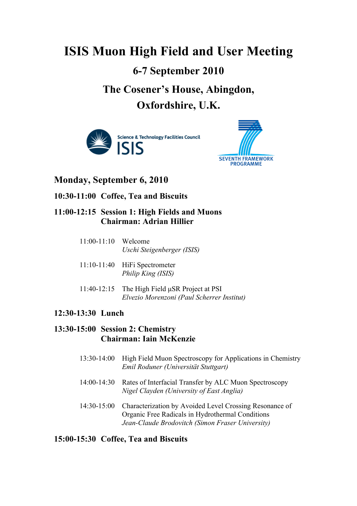# **ISIS Muon High Field and User Meeting 6-7 September 2010 The Cosener's House, Abingdon, Oxfordshire, U.K.**





## **Monday, September 6, 2010**

**10:30-11:00 Coffee, Tea and Biscuits**

## **11:00-12:15 Session 1: High Fields and Muons Chairman: Adrian Hillier**

| $11:00-11:10$ Welcome |                            |
|-----------------------|----------------------------|
|                       | Uschi Steigenberger (ISIS) |

- 11:10-11:40 HiFi Spectrometer *Philip King (ISIS)*
- 11:40-12:15 The High Field µSR Project at PSI *Elvezio Morenzoni (Paul Scherrer Institut)*

#### **12:30-13:30 Lunch**

## **13:30-15:00 Session 2: Chemistry Chairman: Iain McKenzie**

- 13:30-14:00 High Field Muon Spectroscopy for Applications in Chemistry *Emil Roduner (Universität Stuttgart)*
- 14:00-14:30 Rates of Interfacial Transfer by ALC Muon Spectroscopy *Nigel Clayden (University of East Anglia)*
- 14:30-15:00 Characterization by Avoided Level Crossing Resonance of Organic Free Radicals in Hydrothermal Conditions *Jean-Claude Brodovitch (Simon Fraser University)*

#### **15:00-15:30 Coffee, Tea and Biscuits**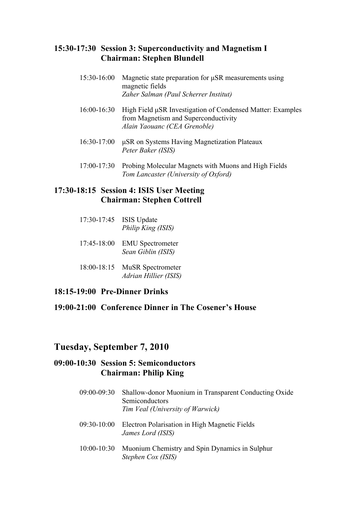#### **15:30-17:30 Session 3: Superconductivity and Magnetism I Chairman: Stephen Blundell**

- 15:30-16:00 Magnetic state preparation for µSR measurements using magnetic fields *Zaher Salman (Paul Scherrer Institut)*
- 16:00-16:30 High Field µSR Investigation of Condensed Matter: Examples from Magnetism and Superconductivity *Alain Yaouanc (CEA Grenoble)*
- 16:30-17:00 µSR on Systems Having Magnetization Plateaux *Peter Baker (ISIS)*
- 17:00-17:30 Probing Molecular Magnets with Muons and High Fields *Tom Lancaster (University of Oxford)*

## **17:30-18:15 Session 4: ISIS User Meeting Chairman: Stephen Cottrell**

- 17:30-17:45 ISIS Update *Philip King (ISIS)*
- 17:45-18:00 EMU Spectrometer *Sean Giblin (ISIS)*
- 18:00-18:15 MuSR Spectrometer *Adrian Hillier (ISIS)*
- **18:15-19:00 Pre-Dinner Drinks**

## **19:00-21:00 Conference Dinner in The Cosener's House**

## **Tuesday, September 7, 2010**

## **09:00-10:30 Session 5: Semiconductors Chairman: Philip King**

- 09:00-09:30 Shallow-donor Muonium in Transparent Conducting Oxide Semiconductors *Tim Veal (University of Warwick)*
- 09:30-10:00 Electron Polarisation in High Magnetic Fields *James Lord (ISIS)*
- 10:00-10:30 Muonium Chemistry and Spin Dynamics in Sulphur *Stephen Cox (ISIS)*